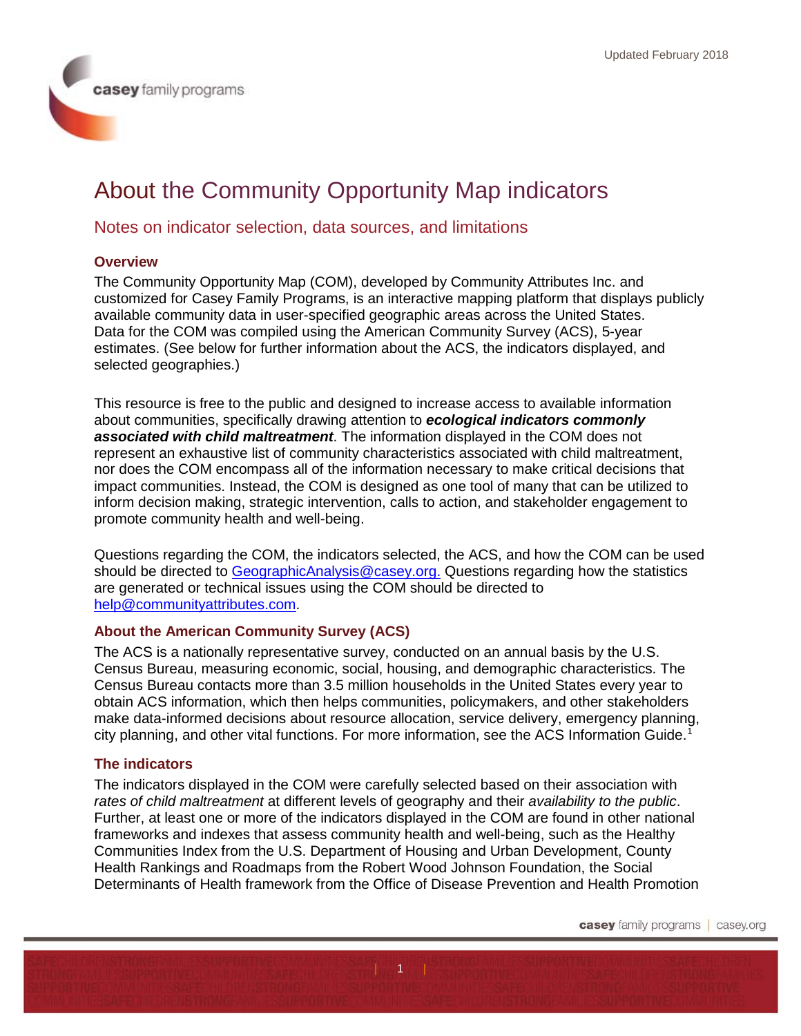# About the Community Opportunity Map indicators

# Notes on indicator selection, data sources, and limitations

## **Overview**

The Community Opportunity Map (COM), developed by Community Attributes Inc. and customized for Casey Family Programs, is an interactive mapping platform that displays publicly available community data in user-specified geographic areas across the United States. Data for the COM was compiled using the American Community Survey (ACS), 5-year estimates. (See below for further information about the ACS, the indicators displayed, and selected geographies.)

This resource is free to the public and designed to increase access to available information about communities, specifically drawing attention to *ecological indicators commonly associated with child maltreatment*. The information displayed in the COM does not represent an exhaustive list of community characteristics associated with child maltreatment, nor does the COM encompass all of the information necessary to make critical decisions that impact communities. Instead, the COM is designed as one tool of many that can be utilized to inform decision making, strategic intervention, calls to action, and stakeholder engagement to promote community health and well-being.

Questions regarding the COM, the indicators selected, the ACS, and how the COM can be used should be directed to [GeographicAnalysis@casey.org.](mailto:GeographicAnalysis@casey.org) Questions regarding how the statistics are generated or technical issues using the COM should be directed to [help@communityattributes.com.](mailto:help@communityattributes.com)

# **About the American Community Survey (ACS)**

The ACS is a nationally representative survey, conducted on an annual basis by the U.S. Census Bureau, measuring economic, social, housing, and demographic characteristics. The Census Bureau contacts more than 3.5 million households in the United States every year to obtain ACS information, which then helps communities, policymakers, and other stakeholders make data-informed decisions about resource allocation, service delivery, emergency planning, city planning, and other vital functions. For more information, see the ACS Information Guide.<sup>[1](#page-4-0)</sup>

# **The indicators**

The indicators displayed in the COM were carefully selected based on their association with *rates of child maltreatment* at different levels of geography and their *availability to the public*. Further, at least one or more of the indicators displayed in the COM are found in other national frameworks and indexes that assess community health and well-being, such as the Healthy Communities Index from the U.S. Department of Housing and Urban Development, County Health Rankings and Roadmaps from the Robert Wood Johnson Foundation, the Social Determinants of Health framework from the Office of Disease Prevention and Health Promotion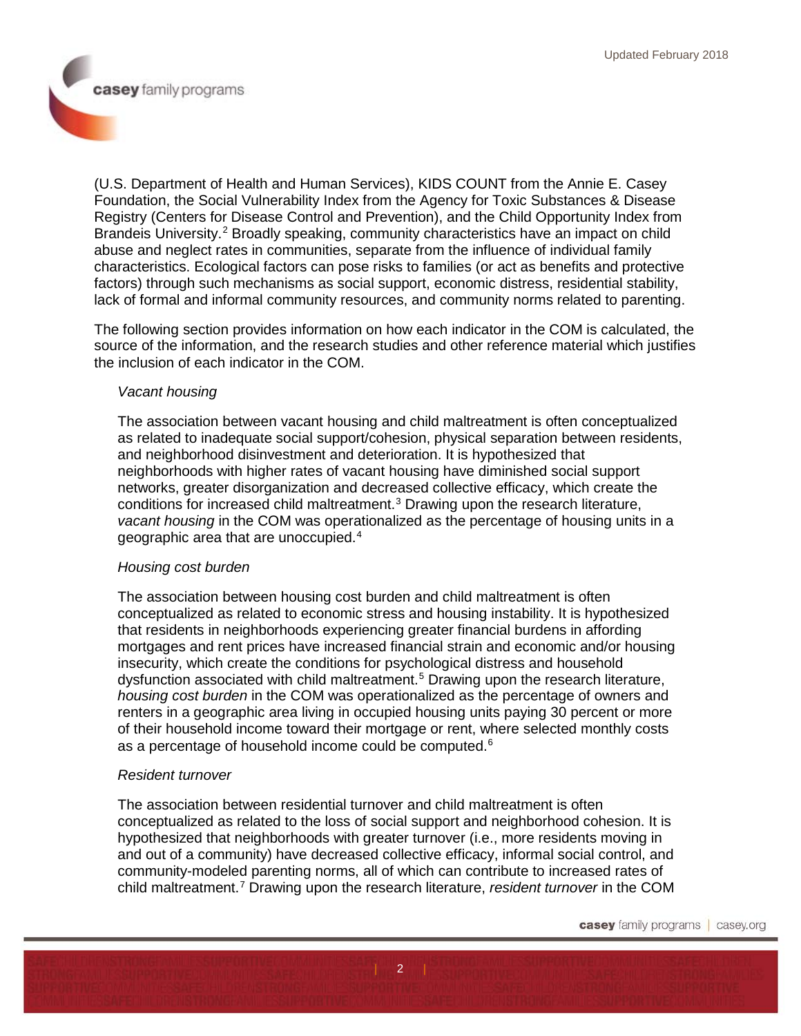casey family programs

(U.S. Department of Health and Human Services), KIDS COUNT from the Annie E. Casey Foundation, the Social Vulnerability Index from the Agency for Toxic Substances & Disease Registry (Centers for Disease Control and Prevention), and the Child Opportunity Index from Brandeis University.<sup>[2](#page-4-1)</sup> Broadly speaking, community characteristics have an impact on child abuse and neglect rates in communities, separate from the influence of individual family characteristics. Ecological factors can pose risks to families (or act as benefits and protective factors) through such mechanisms as social support, economic distress, residential stability, lack of formal and informal community resources, and community norms related to parenting.

The following section provides information on how each indicator in the COM is calculated, the source of the information, and the research studies and other reference material which justifies the inclusion of each indicator in the COM.

## *Vacant housing*

The association between vacant housing and child maltreatment is often conceptualized as related to inadequate social support/cohesion, physical separation between residents, and neighborhood disinvestment and deterioration. It is hypothesized that neighborhoods with higher rates of vacant housing have diminished social support networks, greater disorganization and decreased collective efficacy, which create the conditions for increased child maltreatment.[3](#page-5-0) Drawing upon the research literature, *vacant housing* in the COM was operationalized as the percentage of housing units in a geographic area that are unoccupied. [4](#page-5-1)

#### *Housing cost burden*

The association between housing cost burden and child maltreatment is often conceptualized as related to economic stress and housing instability. It is hypothesized that residents in neighborhoods experiencing greater financial burdens in affording mortgages and rent prices have increased financial strain and economic and/or housing insecurity, which create the conditions for psychological distress and household dysfunction associated with child maltreatment.[5](#page-5-2) Drawing upon the research literature, *housing cost burden* in the COM was operationalized as the percentage of owners and renters in a geographic area living in occupied housing units paying 30 percent or more of their household income toward their mortgage or rent, where selected monthly costs as a percentage of household income could be computed.<sup>[6](#page-5-3)</sup>

#### *Resident turnover*

The association between residential turnover and child maltreatment is often conceptualized as related to the loss of social support and neighborhood cohesion. It is hypothesized that neighborhoods with greater turnover (i.e., more residents moving in and out of a community) have decreased collective efficacy, informal social control, and community-modeled parenting norms, all of which can contribute to increased rates of child maltreatment.[7](#page-5-4) Drawing upon the research literature, *resident turnover* in the COM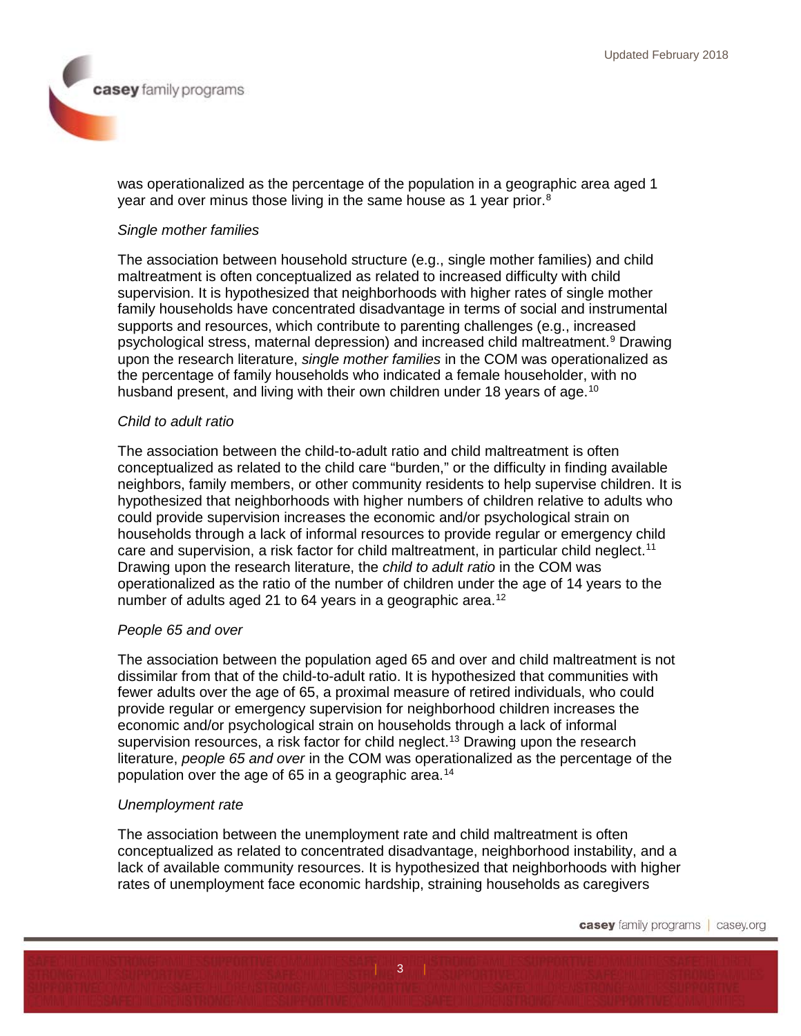casey family programs

was operationalized as the percentage of the population in a geographic area aged 1 year and over minus those living in the same house as 1 year prior. $^8$  $^8$ 

## *Single mother families*

The association between household structure (e.g., single mother families) and child maltreatment is often conceptualized as related to increased difficulty with child supervision. It is hypothesized that neighborhoods with higher rates of single mother family households have concentrated disadvantage in terms of social and instrumental supports and resources, which contribute to parenting challenges (e.g., increased psychological stress, maternal depression) and increased child maltreatment.[9](#page-6-1) Drawing upon the research literature, *single mother families* in the COM was operationalized as the percentage of family households who indicated a female householder, with no husband present, and living with their own children under 18 years of age.<sup>[10](#page-6-2)</sup>

#### *Child to adult ratio*

The association between the child-to-adult ratio and child maltreatment is often conceptualized as related to the child care "burden," or the difficulty in finding available neighbors, family members, or other community residents to help supervise children. It is hypothesized that neighborhoods with higher numbers of children relative to adults who could provide supervision increases the economic and/or psychological strain on households through a lack of informal resources to provide regular or emergency child care and supervision, a risk factor for child maltreatment, in particular child neglect.<sup>[11](#page-6-3)</sup> Drawing upon the research literature, the *child to adult ratio* in the COM was operationalized as the ratio of the number of children under the age of 14 years to the number of adults aged 21 to 64 years in a geographic area.<sup>[12](#page-6-4)</sup>

#### *People 65 and over*

The association between the population aged 65 and over and child maltreatment is not dissimilar from that of the child-to-adult ratio. It is hypothesized that communities with fewer adults over the age of 65, a proximal measure of retired individuals, who could provide regular or emergency supervision for neighborhood children increases the economic and/or psychological strain on households through a lack of informal supervision resources, a risk factor for child neglect. [13](#page-6-5) Drawing upon the research literature, *people 65 and over* in the COM was operationalized as the percentage of the population over the age of 65 in a geographic area.<sup>[14](#page-6-6)</sup>

## *Unemployment rate*

The association between the unemployment rate and child maltreatment is often conceptualized as related to concentrated disadvantage, neighborhood instability, and a lack of available community resources. It is hypothesized that neighborhoods with higher rates of unemployment face economic hardship, straining households as caregivers

 $\overline{3}$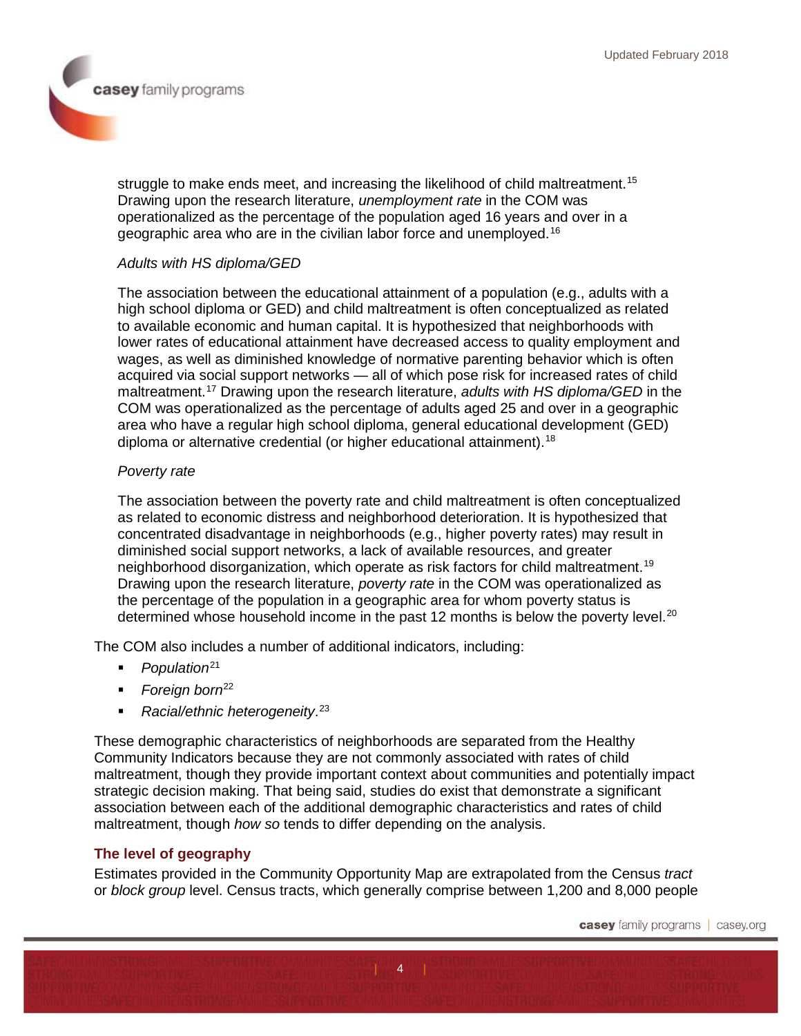struggle to make ends meet, and increasing the likelihood of child maltreatment.<sup>[15](#page-6-7)</sup> Drawing upon the research literature, *unemployment rate* in the COM was operationalized as the percentage of the population aged 16 years and over in a geographic area who are in the civilian labor force and unemployed.[16](#page-6-8)

## *Adults with HS diploma/GED*

The association between the educational attainment of a population (e.g., adults with a high school diploma or GED) and child maltreatment is often conceptualized as related to available economic and human capital. It is hypothesized that neighborhoods with lower rates of educational attainment have decreased access to quality employment and wages, as well as diminished knowledge of normative parenting behavior which is often acquired via social support networks — all of which pose risk for increased rates of child maltreatment.[17](#page-6-9) Drawing upon the research literature, *adults with HS diploma/GED* in the COM was operationalized as the percentage of adults aged 25 and over in a geographic area who have a regular high school diploma, general educational development (GED) diploma or alternative credential (or higher educational attainment).<sup>[18](#page-7-0)</sup>

## *Poverty rate*

The association between the poverty rate and child maltreatment is often conceptualized as related to economic distress and neighborhood deterioration. It is hypothesized that concentrated disadvantage in neighborhoods (e.g., higher poverty rates) may result in diminished social support networks, a lack of available resources, and greater neighborhood disorganization, which operate as risk factors for child maltreatment.[19](#page-7-1) Drawing upon the research literature, *poverty rate* in the COM was operationalized as the percentage of the population in a geographic area for whom poverty status is determined whose household income in the past 12 months is below the poverty level.<sup>[20](#page-7-2)</sup>

The COM also includes a number of additional indicators, including:

- **Population**<sup>[21](#page-7-3)</sup>
- **Foreign born**<sup>[22](#page-7-4)</sup>
- *Racial/ethnic heterogeneity*. [23](#page-7-5)

These demographic characteristics of neighborhoods are separated from the Healthy Community Indicators because they are not commonly associated with rates of child maltreatment, though they provide important context about communities and potentially impact strategic decision making. That being said, studies do exist that demonstrate a significant association between each of the additional demographic characteristics and rates of child maltreatment, though *how so* tends to differ depending on the analysis.

# **The level of geography**

Estimates provided in the Community Opportunity Map are extrapolated from the Census *tract*  or *block group* level. Census tracts, which generally comprise between 1,200 and 8,000 people

 $|$   $|$   $|$   $|$   $|$   $|$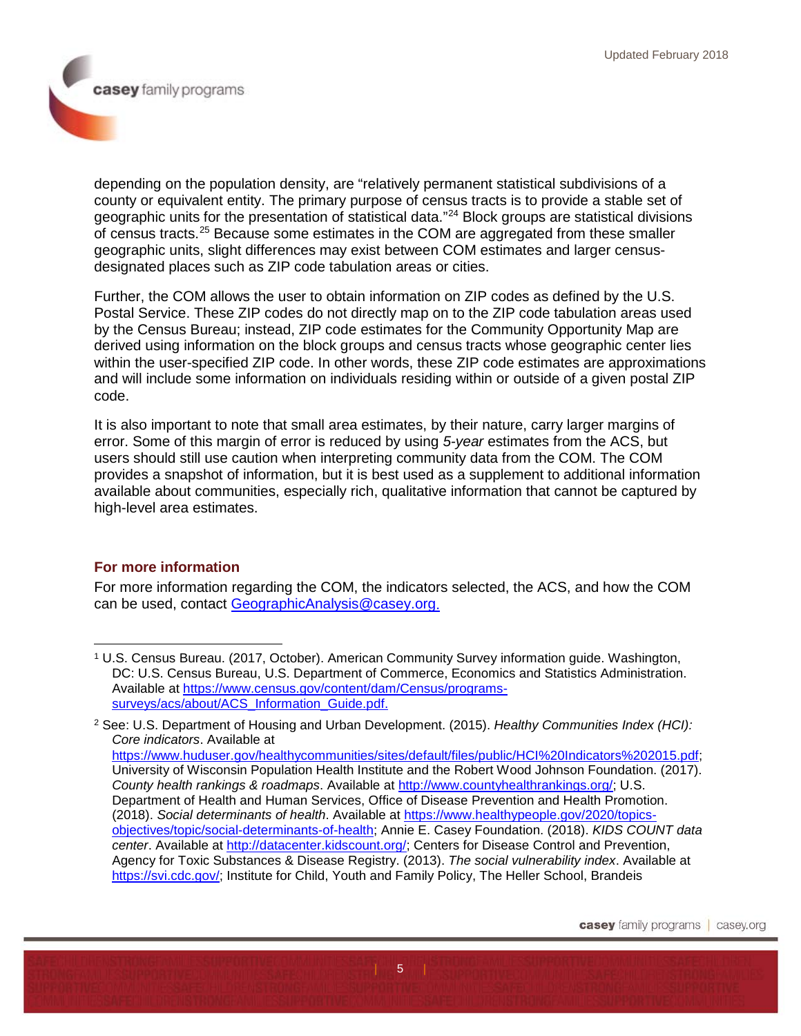casey family programs

depending on the population density, are "relatively permanent statistical subdivisions of a county or equivalent entity. The primary purpose of census tracts is to provide a stable set of geographic units for the presentation of statistical data."[24](#page-7-6) Block groups are statistical divisions of census tracts.[25](#page-7-7) Because some estimates in the COM are aggregated from these smaller geographic units, slight differences may exist between COM estimates and larger censusdesignated places such as ZIP code tabulation areas or cities.

Further, the COM allows the user to obtain information on ZIP codes as defined by the U.S. Postal Service. These ZIP codes do not directly map on to the ZIP code tabulation areas used by the Census Bureau; instead, ZIP code estimates for the Community Opportunity Map are derived using information on the block groups and census tracts whose geographic center lies within the user-specified ZIP code. In other words, these ZIP code estimates are approximations and will include some information on individuals residing within or outside of a given postal ZIP code.

It is also important to note that small area estimates, by their nature, carry larger margins of error. Some of this margin of error is reduced by using *5-year* estimates from the ACS, but users should still use caution when interpreting community data from the COM. The COM provides a snapshot of information, but it is best used as a supplement to additional information available about communities, especially rich, qualitative information that cannot be captured by high-level area estimates.

# **For more information**

For more information regarding the COM, the indicators selected, the ACS, and how the COM can be used, contact [GeographicAnalysis@casey.org.](mailto:GeographicAnalysis@casey.org)

 $\sqrt{5}$ 

<span id="page-4-0"></span><sup>1</sup> U.S. Census Bureau. (2017, October). American Community Survey information guide. Washington, DC: U.S. Census Bureau, U.S. Department of Commerce, Economics and Statistics Administration. Available at [https://www.census.gov/content/dam/Census/programs](https://www.census.gov/content/dam/Census/programs-surveys/acs/about/ACS_Information_Guide.pdf)[surveys/acs/about/ACS\\_Information\\_Guide.pdf.](https://www.census.gov/content/dam/Census/programs-surveys/acs/about/ACS_Information_Guide.pdf)  $\ddot{\phantom{a}}$ 

<span id="page-4-1"></span><sup>2</sup> See: U.S. Department of Housing and Urban Development. (2015). *Healthy Communities Index (HCI): Core indicators*. Available at [https://www.huduser.gov/healthycommunities/sites/default/files/public/HCI%20Indicators%202015.pdf;](https://www.huduser.gov/healthycommunities/sites/default/files/public/HCI%20Indicators%202015.pdf) University of Wisconsin Population Health Institute and the Robert Wood Johnson Foundation. (2017). *County health rankings & roadmaps*. Available at [http://www.countyhealthrankings.org/;](http://www.countyhealthrankings.org/) U.S. Department of Health and Human Services, Office of Disease Prevention and Health Promotion. (2018). *Social determinants of health*. Available at [https://www.healthypeople.gov/2020/topics](https://www.healthypeople.gov/2020/topics-objectives/topic/social-determinants-of-health)[objectives/topic/social-determinants-of-health;](https://www.healthypeople.gov/2020/topics-objectives/topic/social-determinants-of-health) Annie E. Casey Foundation. (2018). *KIDS COUNT data center*. Available at [http://datacenter.kidscount.org/;](http://datacenter.kidscount.org/) Centers for Disease Control and Prevention, Agency for Toxic Substances & Disease Registry. (2013). *The social vulnerability index*. Available at [https://svi.cdc.gov/;](https://svi.cdc.gov/) Institute for Child, Youth and Family Policy, The Heller School, Brandeis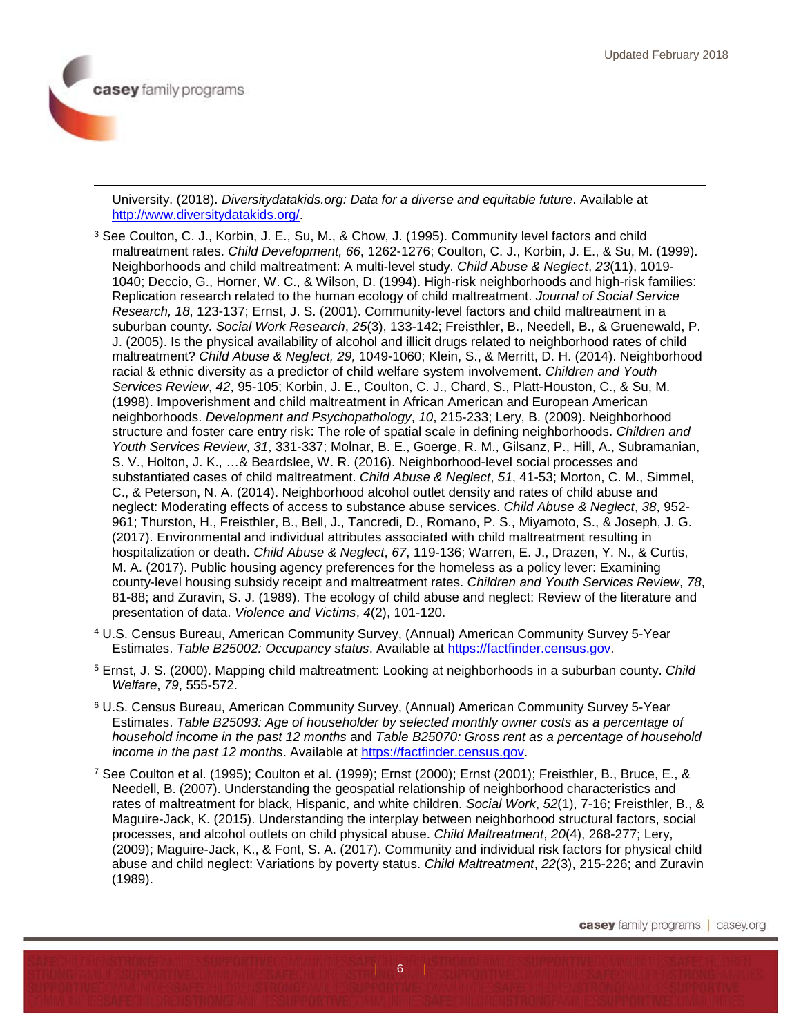$\overline{a}$ 

University. (2018). *Diversitydatakids.org: Data for a diverse and equitable future*. Available at [http://www.diversitydatakids.org/.](http://www.diversitydatakids.org/)

- <span id="page-5-0"></span><sup>3</sup> See Coulton, C. J., Korbin, J. E., Su, M., & Chow, J. (1995). Community level factors and child maltreatment rates. *Child Development, 66*, 1262-1276; Coulton, C. J., Korbin, J. E., & Su, M. (1999). Neighborhoods and child maltreatment: A multi-level study. *Child Abuse & Neglect*, *23*(11), 1019- 1040; Deccio, G., Horner, W. C., & Wilson, D. (1994). High-risk neighborhoods and high-risk families: Replication research related to the human ecology of child maltreatment. *Journal of Social Service Research, 18*, 123-137; Ernst, J. S. (2001). Community-level factors and child maltreatment in a suburban county. *Social Work Research*, *25*(3), 133-142; Freisthler, B., Needell, B., & Gruenewald, P. J. (2005). Is the physical availability of alcohol and illicit drugs related to neighborhood rates of child maltreatment? *Child Abuse & Neglect, 29,* 1049-1060; Klein, S., & Merritt, D. H. (2014). Neighborhood racial & ethnic diversity as a predictor of child welfare system involvement. *Children and Youth Services Review*, *42*, 95-105; Korbin, J. E., Coulton, C. J., Chard, S., Platt-Houston, C., & Su, M. (1998). Impoverishment and child maltreatment in African American and European American neighborhoods. *Development and Psychopathology*, *10*, 215-233; Lery, B. (2009). Neighborhood structure and foster care entry risk: The role of spatial scale in defining neighborhoods. *Children and Youth Services Review*, *31*, 331-337; Molnar, B. E., Goerge, R. M., Gilsanz, P., Hill, A., Subramanian, S. V., Holton, J. K., …& Beardslee, W. R. (2016). Neighborhood-level social processes and substantiated cases of child maltreatment. *Child Abuse & Neglect*, *51*, 41-53; Morton, C. M., Simmel, C., & Peterson, N. A. (2014). Neighborhood alcohol outlet density and rates of child abuse and neglect: Moderating effects of access to substance abuse services. *Child Abuse & Neglect*, *38*, 952- 961; Thurston, H., Freisthler, B., Bell, J., Tancredi, D., Romano, P. S., Miyamoto, S., & Joseph, J. G. (2017). Environmental and individual attributes associated with child maltreatment resulting in hospitalization or death. *Child Abuse & Neglect*, *67*, 119-136; Warren, E. J., Drazen, Y. N., & Curtis, M. A. (2017). Public housing agency preferences for the homeless as a policy lever: Examining county-level housing subsidy receipt and maltreatment rates. *Children and Youth Services Review*, *78*, 81-88; and Zuravin, S. J. (1989). The ecology of child abuse and neglect: Review of the literature and presentation of data. *Violence and Victims*, *4*(2), 101-120.
- <span id="page-5-1"></span><sup>4</sup> U.S. Census Bureau, American Community Survey, (Annual) American Community Survey 5-Year Estimates. *Table B25002: Occupancy status*. Available at [https://factfinder.census.gov.](https://factfinder.census.gov/)
- <span id="page-5-2"></span><sup>5</sup> Ernst, J. S. (2000). Mapping child maltreatment: Looking at neighborhoods in a suburban county. *Child Welfare*, *79*, 555-572.
- <span id="page-5-3"></span><sup>6</sup> U.S. Census Bureau, American Community Survey, (Annual) American Community Survey 5-Year Estimates. *Table B25093: Age of householder by selected monthly owner costs as a percentage of household income in the past 12 months* and *Table B25070: Gross rent as a percentage of household income in the past 12 month*s. Available at [https://factfinder.census.gov.](https://factfinder.census.gov/)
- <span id="page-5-4"></span><sup>7</sup> See Coulton et al. (1995); Coulton et al. (1999); Ernst (2000); Ernst (2001); Freisthler, B., Bruce, E., & Needell, B. (2007). Understanding the geospatial relationship of neighborhood characteristics and rates of maltreatment for black, Hispanic, and white children. *Social Work*, *52*(1), 7-16; Freisthler, B., & Maguire-Jack, K. (2015). Understanding the interplay between neighborhood structural factors, social processes, and alcohol outlets on child physical abuse. *Child Maltreatment*, *20*(4), 268-277; Lery, (2009); Maguire-Jack, K., & Font, S. A. (2017). Community and individual risk factors for physical child abuse and child neglect: Variations by poverty status. *Child Maltreatment*, *22*(3), 215-226; and Zuravin (1989).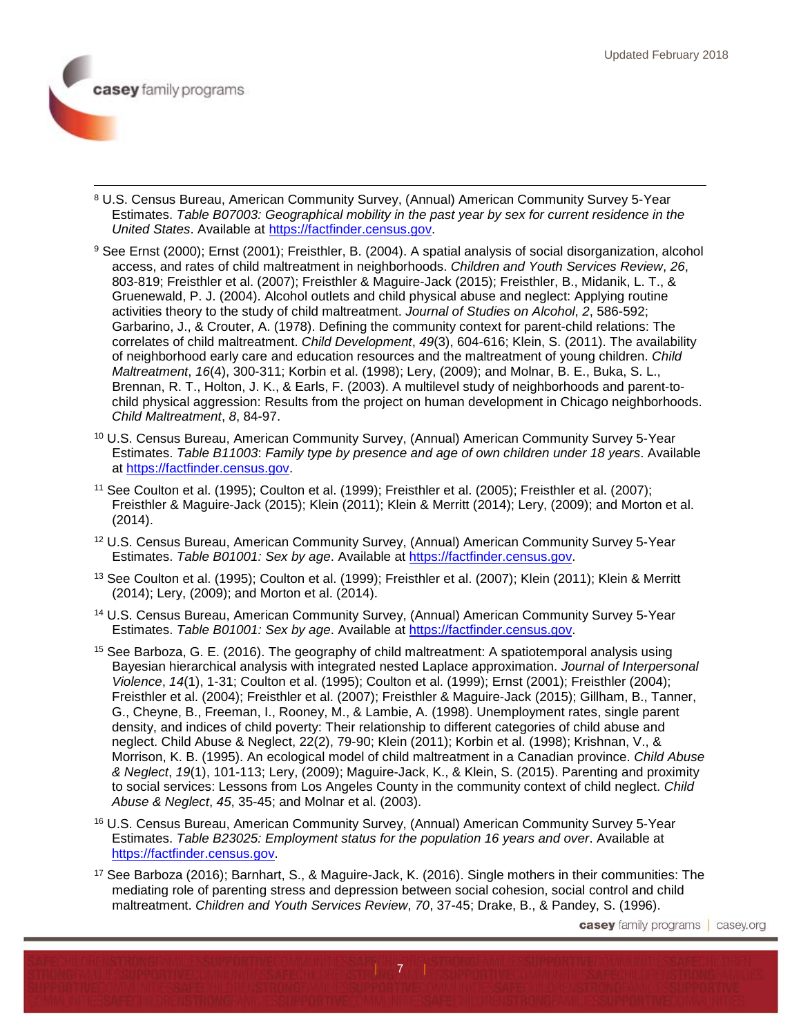

- <span id="page-6-0"></span> 8 U.S. Census Bureau, American Community Survey, (Annual) American Community Survey 5-Year Estimates. *Table B07003: Geographical mobility in the past year by sex for current residence in the United States*. Available at [https://factfinder.census.gov.](https://factfinder.census.gov/)
- <span id="page-6-1"></span><sup>9</sup> See Ernst (2000); Ernst (2001); Freisthler, B. (2004). A spatial analysis of social disorganization, alcohol access, and rates of child maltreatment in neighborhoods. *Children and Youth Services Review*, *26*, 803-819; Freisthler et al. (2007); Freisthler & Maguire-Jack (2015); Freisthler, B., Midanik, L. T., & Gruenewald, P. J. (2004). Alcohol outlets and child physical abuse and neglect: Applying routine activities theory to the study of child maltreatment. *Journal of Studies on Alcohol*, *2*, 586-592; Garbarino, J., & Crouter, A. (1978). Defining the community context for parent-child relations: The correlates of child maltreatment. *Child Development*, *49*(3), 604-616; Klein, S. (2011). The availability of neighborhood early care and education resources and the maltreatment of young children. *Child Maltreatment*, *16*(4), 300-311; Korbin et al. (1998); Lery, (2009); and Molnar, B. E., Buka, S. L., Brennan, R. T., Holton, J. K., & Earls, F. (2003). A multilevel study of neighborhoods and parent-tochild physical aggression: Results from the project on human development in Chicago neighborhoods. *Child Maltreatment*, *8*, 84-97.
- <span id="page-6-2"></span><sup>10</sup> U.S. Census Bureau, American Community Survey, (Annual) American Community Survey 5-Year Estimates. *Table B11003*: *Family type by presence and age of own children under 18 years*. Available at [https://factfinder.census.gov.](https://factfinder.census.gov/)
- <span id="page-6-3"></span><sup>11</sup> See Coulton et al. (1995); Coulton et al. (1999); Freisthler et al. (2005); Freisthler et al. (2007); Freisthler & Maguire-Jack (2015); Klein (2011); Klein & Merritt (2014); Lery, (2009); and Morton et al. (2014).
- <span id="page-6-4"></span><sup>12</sup> U.S. Census Bureau, American Community Survey, (Annual) American Community Survey 5-Year Estimates. *Table B01001: Sex by age*. Available at [https://factfinder.census.gov.](https://factfinder.census.gov/)
- <span id="page-6-5"></span><sup>13</sup> See Coulton et al. (1995); Coulton et al. (1999); Freisthler et al. (2007); Klein (2011); Klein & Merritt (2014); Lery, (2009); and Morton et al. (2014).
- <span id="page-6-6"></span><sup>14</sup> U.S. Census Bureau, American Community Survey, (Annual) American Community Survey 5-Year Estimates. *Table B01001: Sex by age*. Available at [https://factfinder.census.gov.](https://factfinder.census.gov/)
- <span id="page-6-7"></span><sup>15</sup> See Barboza, G. E. (2016). The geography of child maltreatment: A spatiotemporal analysis using Bayesian hierarchical analysis with integrated nested Laplace approximation. *Journal of Interpersonal Violence*, *14*(1), 1-31; Coulton et al. (1995); Coulton et al. (1999); Ernst (2001); Freisthler (2004); Freisthler et al. (2004); Freisthler et al. (2007); Freisthler & Maguire-Jack (2015); Gillham, B., Tanner, G., Cheyne, B., Freeman, I., Rooney, M., & Lambie, A. (1998). Unemployment rates, single parent density, and indices of child poverty: Their relationship to different categories of child abuse and neglect. Child Abuse & Neglect, 22(2), 79-90; Klein (2011); Korbin et al. (1998); Krishnan, V., & Morrison, K. B. (1995). An ecological model of child maltreatment in a Canadian province. *Child Abuse & Neglect*, *19*(1), 101-113; Lery, (2009); Maguire-Jack, K., & Klein, S. (2015). Parenting and proximity to social services: Lessons from Los Angeles County in the community context of child neglect. *Child Abuse & Neglect*, *45*, 35-45; and Molnar et al. (2003).
- <span id="page-6-8"></span><sup>16</sup> U.S. Census Bureau, American Community Survey, (Annual) American Community Survey 5-Year Estimates. *Table B23025: Employment status for the population 16 years and over*. Available at [https://factfinder.census.gov.](https://factfinder.census.gov/)
- <span id="page-6-9"></span><sup>17</sup> See Barboza (2016); Barnhart, S., & Maguire-Jack, K. (2016). Single mothers in their communities: The mediating role of parenting stress and depression between social cohesion, social control and child maltreatment. *Children and Youth Services Review*, *70*, 37-45; Drake, B., & Pandey, S. (1996).

| <sub>11 | 7</sub> | <sub>11</sub> | 1

**casey** family programs | casey.org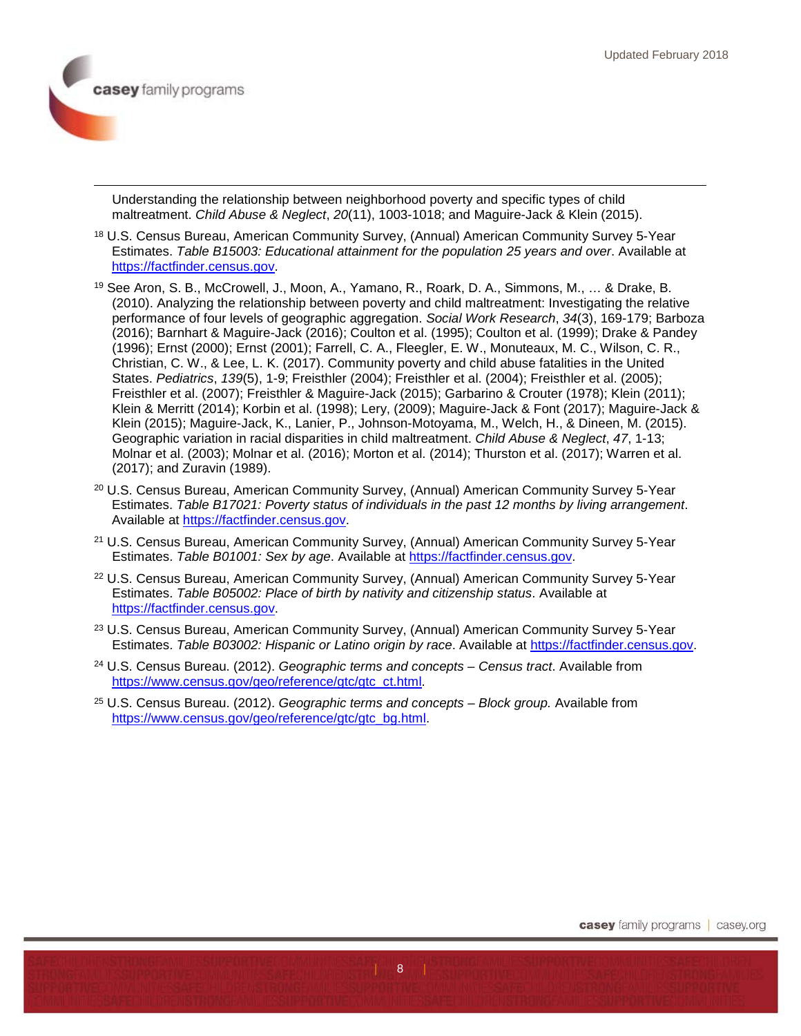

 $\overline{a}$ 

Understanding the relationship between neighborhood poverty and specific types of child maltreatment. *Child Abuse & Neglect*, *20*(11), 1003-1018; and Maguire-Jack & Klein (2015).

- <span id="page-7-0"></span><sup>18</sup> U.S. Census Bureau, American Community Survey, (Annual) American Community Survey 5-Year Estimates. *Table B15003: Educational attainment for the population 25 years and over*. Available at [https://factfinder.census.gov.](https://factfinder.census.gov/)
- <span id="page-7-1"></span><sup>19</sup> See Aron, S. B., McCrowell, J., Moon, A., Yamano, R., Roark, D. A., Simmons, M., … & Drake, B. (2010). Analyzing the relationship between poverty and child maltreatment: Investigating the relative performance of four levels of geographic aggregation. *Social Work Research*, *34*(3), 169-179; Barboza (2016); Barnhart & Maguire-Jack (2016); Coulton et al. (1995); Coulton et al. (1999); Drake & Pandey (1996); Ernst (2000); Ernst (2001); Farrell, C. A., Fleegler, E. W., Monuteaux, M. C., Wilson, C. R., Christian, C. W., & Lee, L. K. (2017). Community poverty and child abuse fatalities in the United States. *Pediatrics*, *139*(5), 1-9; Freisthler (2004); Freisthler et al. (2004); Freisthler et al. (2005); Freisthler et al. (2007); Freisthler & Maguire-Jack (2015); Garbarino & Crouter (1978); Klein (2011); Klein & Merritt (2014); Korbin et al. (1998); Lery, (2009); Maguire-Jack & Font (2017); Maguire-Jack & Klein (2015); Maguire-Jack, K., Lanier, P., Johnson-Motoyama, M., Welch, H., & Dineen, M. (2015). Geographic variation in racial disparities in child maltreatment. *Child Abuse & Neglect*, *47*, 1-13; Molnar et al. (2003); Molnar et al. (2016); Morton et al. (2014); Thurston et al. (2017); Warren et al. (2017); and Zuravin (1989).
- <span id="page-7-2"></span><sup>20</sup> U.S. Census Bureau, American Community Survey, (Annual) American Community Survey 5-Year Estimates. *Table B17021: Poverty status of individuals in the past 12 months by living arrangement*. Available at [https://factfinder.census.gov.](https://factfinder.census.gov/)
- <span id="page-7-3"></span><sup>21</sup> U.S. Census Bureau, American Community Survey, (Annual) American Community Survey 5-Year Estimates. *Table B01001: Sex by age*. Available at [https://factfinder.census.gov.](https://factfinder.census.gov/)
- <span id="page-7-4"></span><sup>22</sup> U.S. Census Bureau, American Community Survey, (Annual) American Community Survey 5-Year Estimates. *Table B05002: Place of birth by nativity and citizenship status*. Available at [https://factfinder.census.gov.](https://factfinder.census.gov/)
- <span id="page-7-5"></span><sup>23</sup> U.S. Census Bureau, American Community Survey, (Annual) American Community Survey 5-Year Estimates. *Table B03002: Hispanic or Latino origin by race*. Available at [https://factfinder.census.gov.](https://factfinder.census.gov/)

 $\boldsymbol{8}$ 

- <span id="page-7-6"></span><sup>24</sup> U.S. Census Bureau. (2012). *Geographic terms and concepts – Census tract*. Available from [https://www.census.gov/geo/reference/gtc/gtc\\_ct.html.](https://www.census.gov/geo/reference/gtc/gtc_ct.html)
- <span id="page-7-7"></span><sup>25</sup> U.S. Census Bureau. (2012). *Geographic terms and concepts – Block group.* Available from [https://www.census.gov/geo/reference/gtc/gtc\\_bg.html.](https://www.census.gov/geo/reference/gtc/gtc_bg.html)